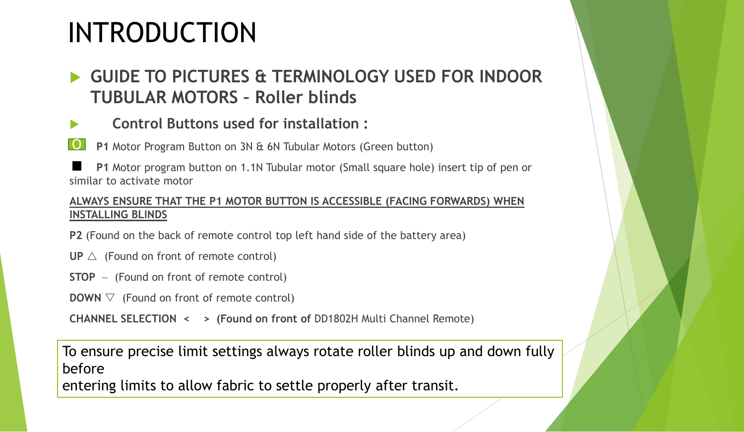# INTRODUCTION

## **GUIDE TO PICTURES & TERMINOLOGY USED FOR INDOOR TUBULAR MOTORS – Roller blinds**

### **Control Buttons used for installation :**

**P1** Motor Program Button on 3N & 6N Tubular Motors (Green button) O

**P1** Motor program button on 1.1N Tubular motor (Small square hole) insert tip of pen or similar to activate motor

#### **ALWAYS ENSURE THAT THE P1 MOTOR BUTTON IS ACCESSIBLE (FACING FORWARDS) WHEN INSTALLING BLINDS**

**P2** (Found on the back of remote control top left hand side of the battery area)

- $UP \triangle$  (Found on front of remote control)
- **STOP** − (Found on front of remote control)
- **DOWN**  $\triangledown$  (Found on front of remote control)

**CHANNEL SELECTION < > (Found on front of** DD1802H Multi Channel Remote)

To ensure precise limit settings always rotate roller blinds up and down fully before

entering limits to allow fabric to settle properly after transit.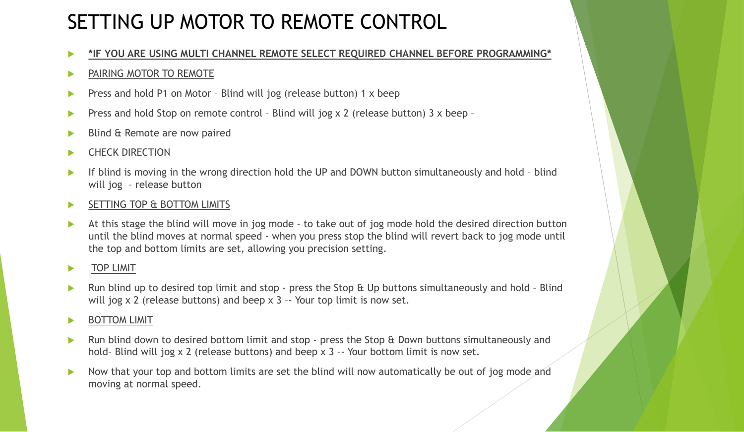# SETTING UP MOTOR TO REMOTE CONTROL

**\*IF YOU ARE USING MULTI CHANNEL REMOTE SELECT REQUIRED CHANNEL BEFORE PROGRAMMING\***

#### **PAIRING MOTOR TO REMOTE**

- **Press and hold P1 on Motor Blind will jog (release button) 1 x beep**
- **Press and hold Stop on remote control Blind will jog x 2 (release button) 3 x beep -**
- Blind & Remote are now paired

#### **EXAMPLE CHECK DIRECTION**

- If blind is moving in the wrong direction hold the UP and DOWN button simultaneously and hold blind will jog – release button
- SETTING TOP & BOTTOM LIMITS
- At this stage the blind will move in jog mode to take out of jog mode hold the desired direction button until the blind moves at normal speed - when you press stop the blind will revert back to jog mode until the top and bottom limits are set, allowing you precision setting.

#### **TOP LIMIT**

 Run blind up to desired top limit and stop - press the Stop & Up buttons simultaneously and hold – Blind will jog x 2 (release buttons) and beep x 3 -- Your top limit is now set.

#### BOTTOM LIMIT

- **EXT A** Run blind down to desired bottom limit and stop press the Stop & Down buttons simultaneously and hold– Blind will jog x 2 (release buttons) and beep x 3 –- Your bottom limit is now set.
- Now that your top and bottom limits are set the blind will now automatically be out of jog mode and moving at normal speed.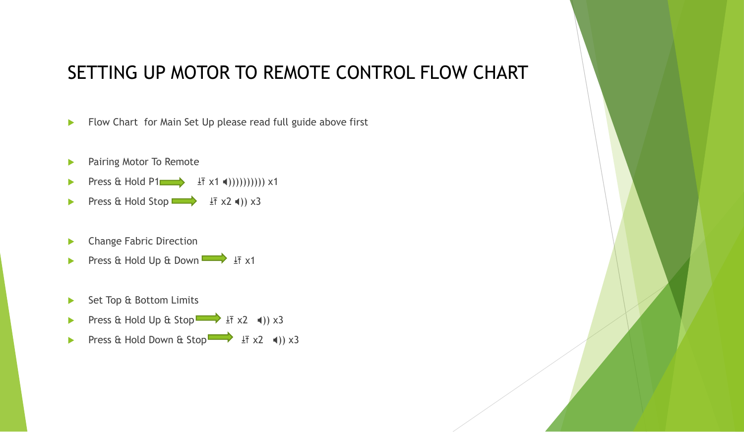### SETTING UP MOTOR TO REMOTE CONTROL FLOW CHART

- Flow Chart for Main Set Up please read full guide above first
- **Pairing Motor To Remote**
- Press & Hold P1  $\longrightarrow$   $\downarrow$   $\uparrow$  x1 ())))))))))) x1
- Press & Hold Stop  $\Rightarrow$   $\frac{1}{1}$  x2 ()) x3
- Change Fabric Direction
- Press & Hold Up & Down  $\longrightarrow$   $\overline{\text{I}7}$  x1
- Set Top & Bottom Limits
- Press & Hold Up & Stop  $\Rightarrow$   $\frac{1}{1}$  x2 (1)) x3
- Press & Hold Down & Stop  $\overrightarrow{F}$   $\overrightarrow{2}$  (1) x3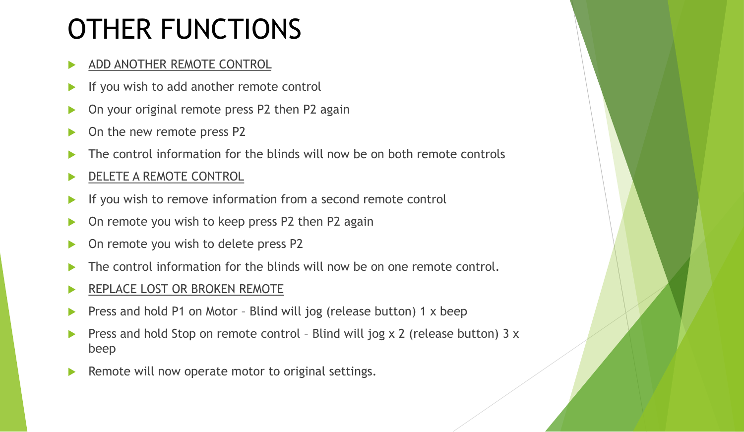# OTHER FUNCTIONS

### ADD ANOTHER REMOTE CONTROL

- If you wish to add another remote control
- On your original remote press P2 then P2 again
- On the new remote press P2
- The control information for the blinds will now be on both remote controls
- DELETE A REMOTE CONTROL
- If you wish to remove information from a second remote control
- ▶ On remote you wish to keep press P2 then P2 again
- On remote you wish to delete press P2
- The control information for the blinds will now be on one remote control.
- REPLACE LOST OR BROKEN REMOTE
- Press and hold P1 on Motor Blind will jog (release button) 1 x beep
- Press and hold Stop on remote control Blind will jog x 2 (release button) 3 x beep
- Remote will now operate motor to original settings.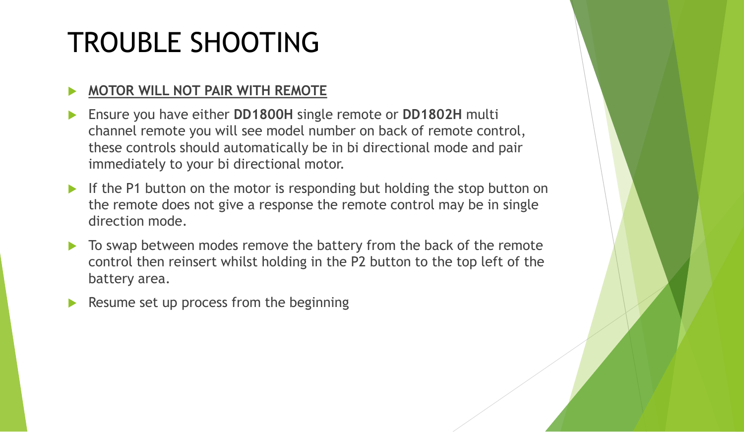# TROUBLE SHOOTING

### **MOTOR WILL NOT PAIR WITH REMOTE**

- Ensure you have either **DD1800H** single remote or **DD1802H** multi channel remote you will see model number on back of remote control, these controls should automatically be in bi directional mode and pair immediately to your bi directional motor.
- If the P1 button on the motor is responding but holding the stop button on the remote does not give a response the remote control may be in single direction mode.
- To swap between modes remove the battery from the back of the remote control then reinsert whilst holding in the P2 button to the top left of the battery area.
- Resume set up process from the beginning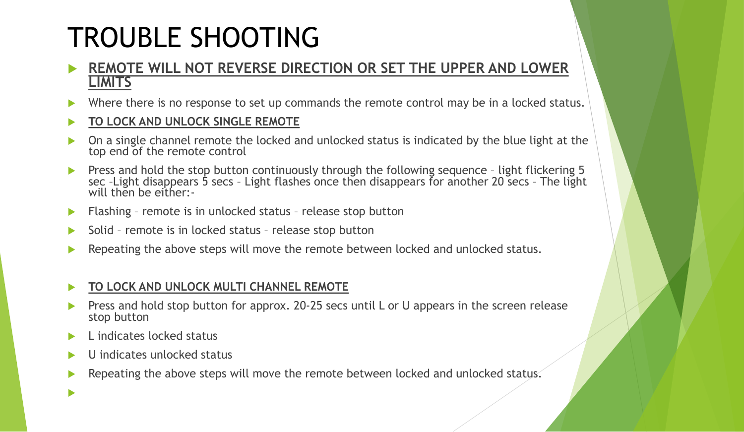# TROUBLE SHOOTING

### **REMOTE WILL NOT REVERSE DIRECTION OR SET THE UPPER AND LOWER LIMITS**

- Where there is no response to set up commands the remote control may be in a locked status.
- **TO LOCK AND UNLOCK SINGLE REMOTE**
- On a single channel remote the locked and unlocked status is indicated by the blue light at the top end of the remote control
- **Press and hold the stop button continuously through the following sequence light flickering 5** sec –Light disappears 5 secs – Light flashes once then disappears for another 20 secs – The light will then be either:-
- **Flashing remote is in unlocked status release stop button**
- Solid remote is in locked status release stop button
- Repeating the above steps will move the remote between locked and unlocked status.

### **TO LOCK AND UNLOCK MULTI CHANNEL REMOTE**

- Press and hold stop button for approx. 20-25 secs until L or U appears in the screen release stop button
- L indicates locked status

 $\blacktriangleright$ 

- U indicates unlocked status
- Repeating the above steps will move the remote between locked and unlocked status.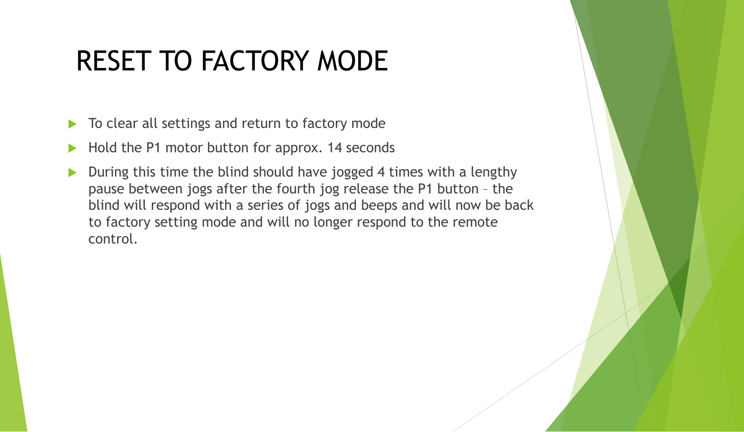# RESET TO FACTORY MODE

- To clear all settings and return to factory mode
- Hold the P1 motor button for approx. 14 seconds
- During this time the blind should have jogged 4 times with a lengthy pause between jogs after the fourth jog release the P1 button – the blind will respond with a series of jogs and beeps and will now be back to factory setting mode and will no longer respond to the remote control.